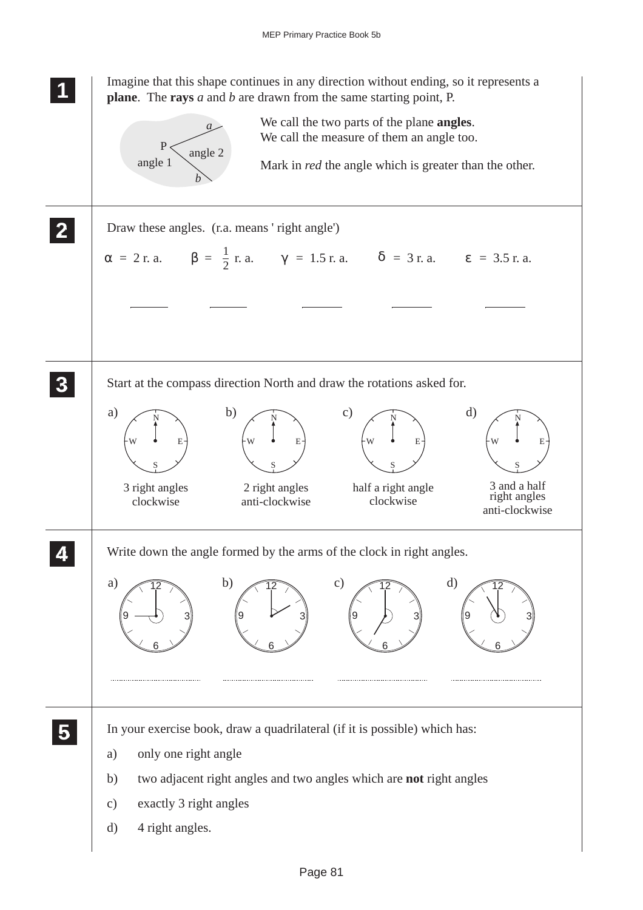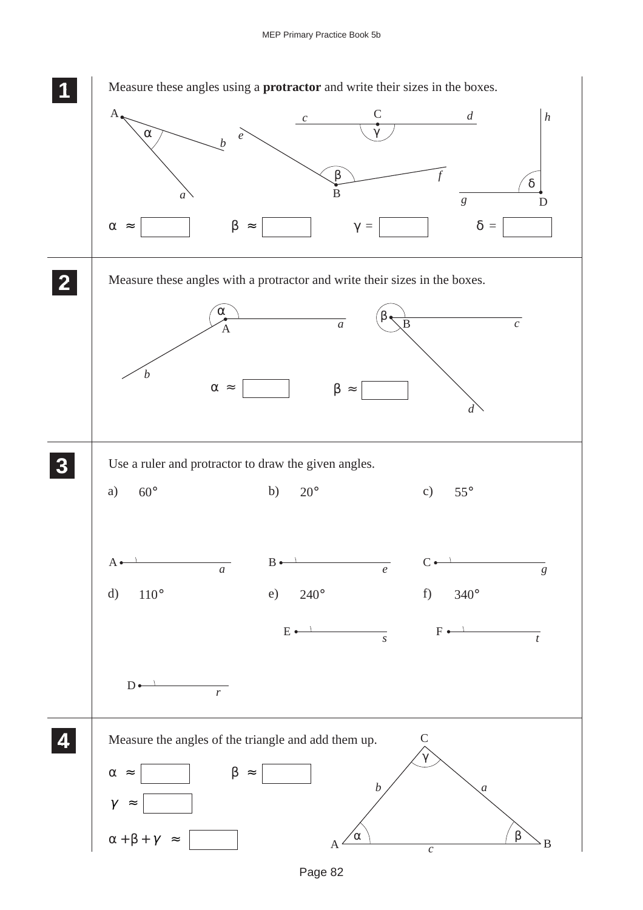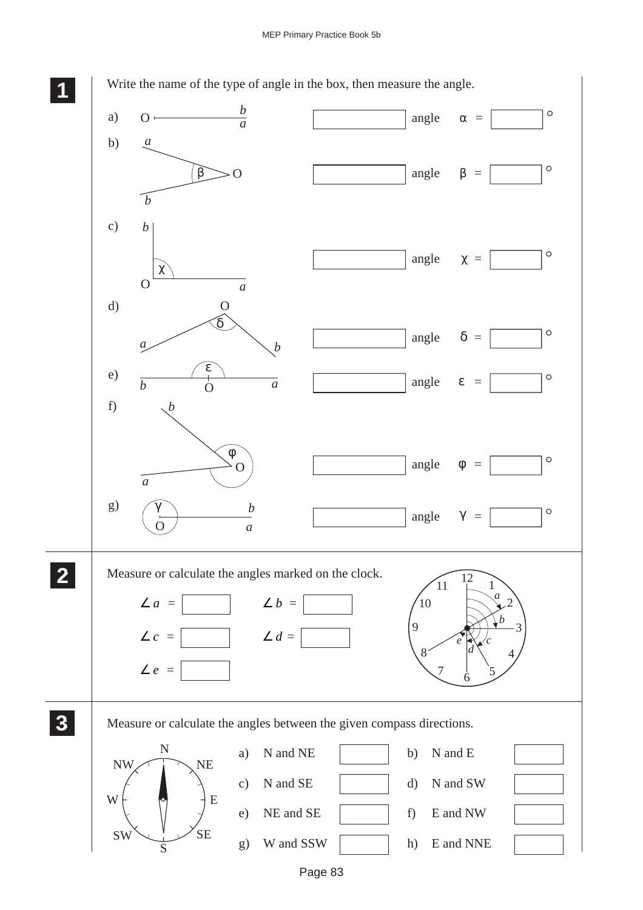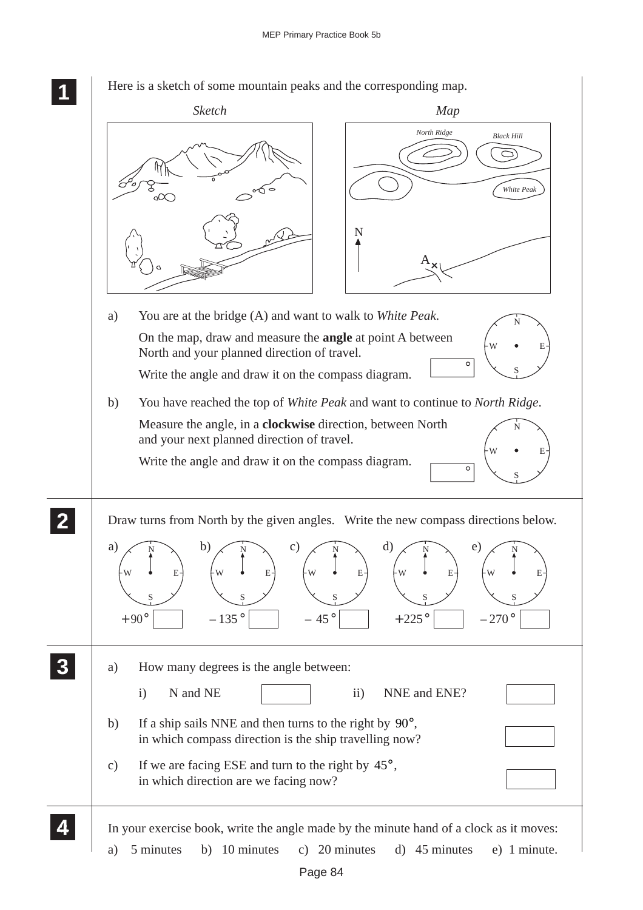**1 11** *Sketch Map North Ridge Black Hill*  $\bigcirc$ lΨĥ *White Peak* ്ഹ N A a) You are at the bridge (A) and want to walk to *White Peak*. N On the map, draw and measure the **angle** at point A between W • E North and your planned direction of travel. S Write the angle and draw it on the compass diagram. b) You have reached the top of *White Peak* and want to continue to *North Ridge*. Measure the angle, in a **clockwise** direction, between North N and your next planned direction of travel. W • E Write the angle and draw it on the compass diagram.  $\overline{\circ}$ S **2 22** Draw turns from North by the given angles. Write the new compass directions below. **22** a) b) c) d) e) N N N N N W  $\bullet$  E W  $\bullet$  E W  $\bullet$  E W  $\bullet$  E W  $\bullet$  E S S S S S  $+225$ °  $-270^{\circ}$  $+90^{\circ}$   $-135^{\circ}$   $-45^{\circ}$ **3 33** a) How many degrees is the angle between: **33 33** i) N and NE ii) NNE and ENE? b) If a ship sails NNE and then turns to the right by 90°, in which compass direction is the ship travelling now? c) If we are facing ESE and turn to the right by  $45^\circ$ , in which direction are we facing now? **4 44** In your exercise book, write the angle made by the minute hand of a clock as it moves: **44**

Here is a sketch of some mountain peaks and the corresponding map.

a) 5 minutes b) 10 minutes c) 20 minutes d) 45 minutes e) 1 minute.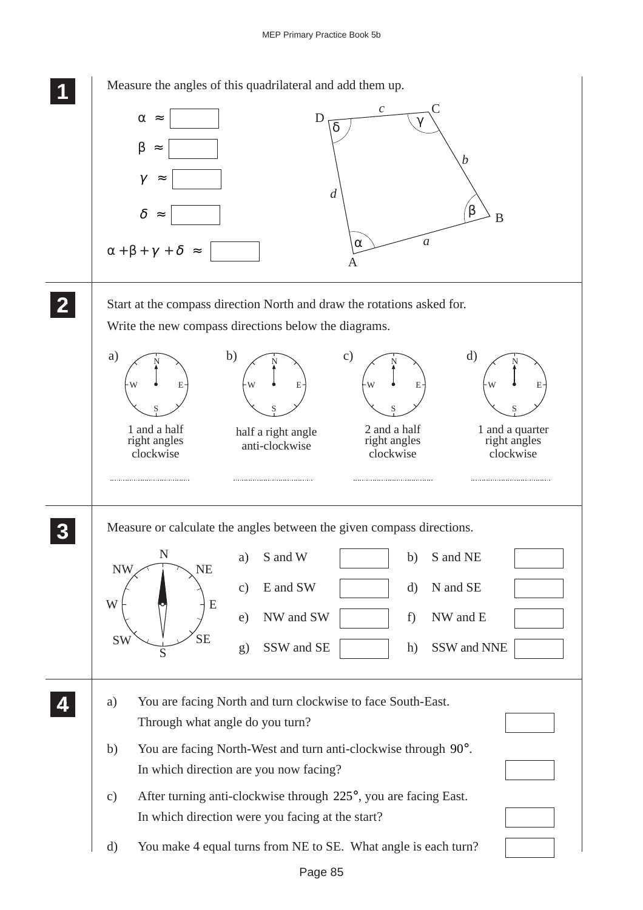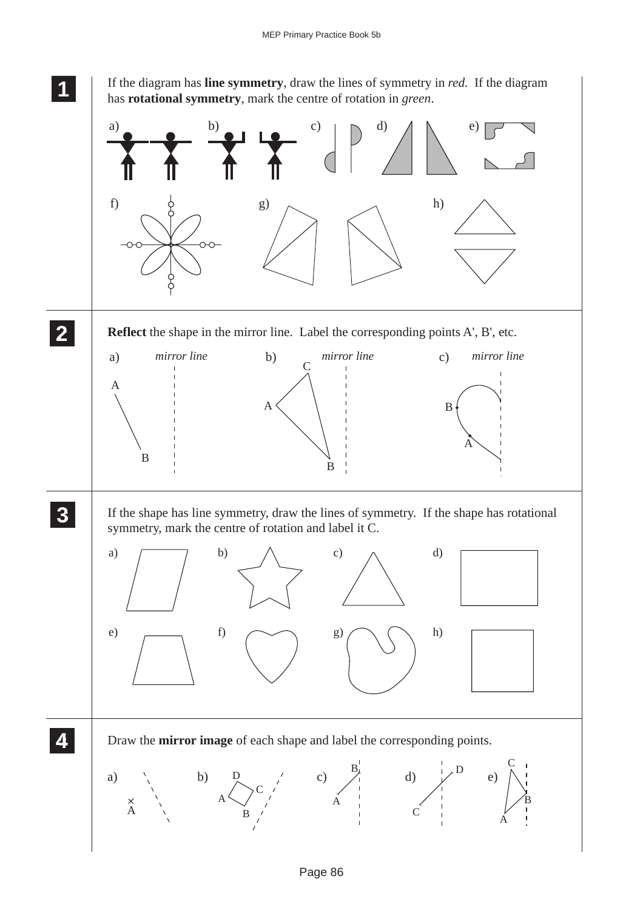

**<sup>11</sup>** If the diagram has **line symmetry**, draw the lines of symmetry in *red.* If the diagram has **rotational symmetry**, mark the centre of rotation in *green*.

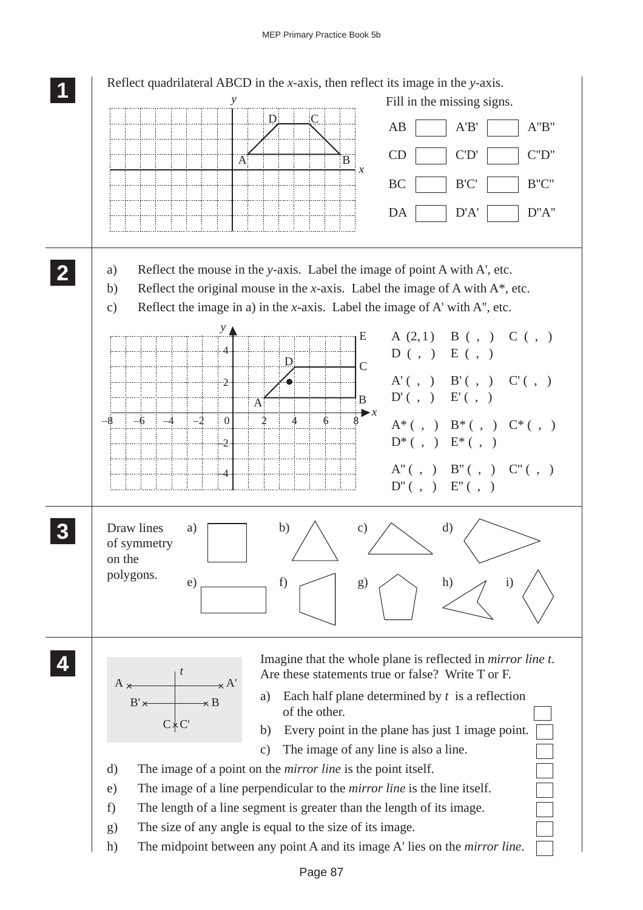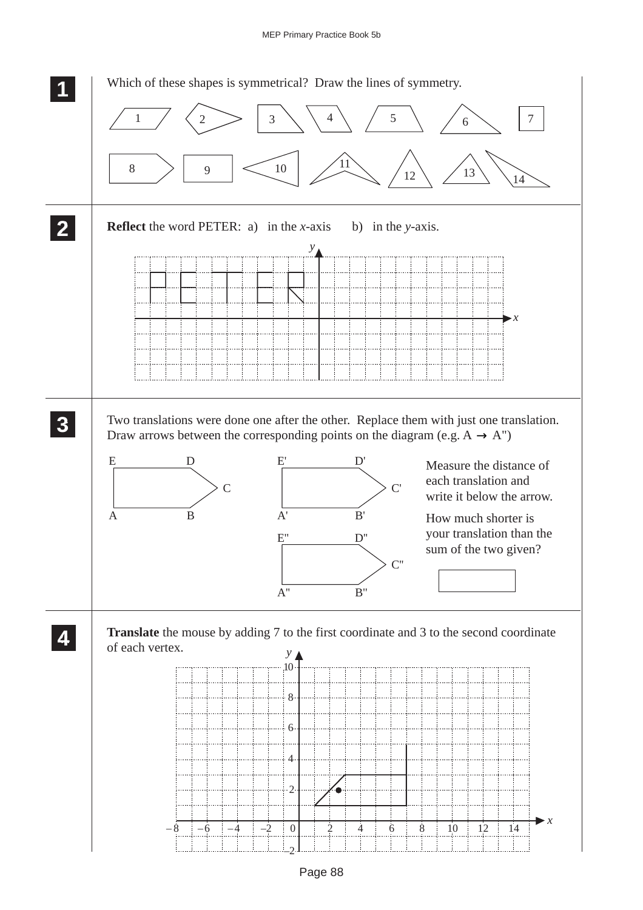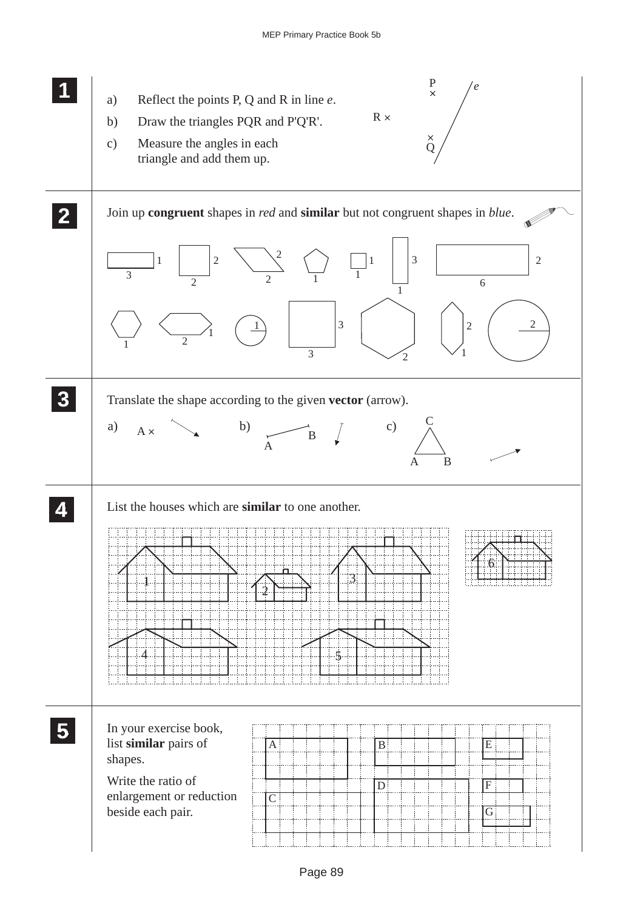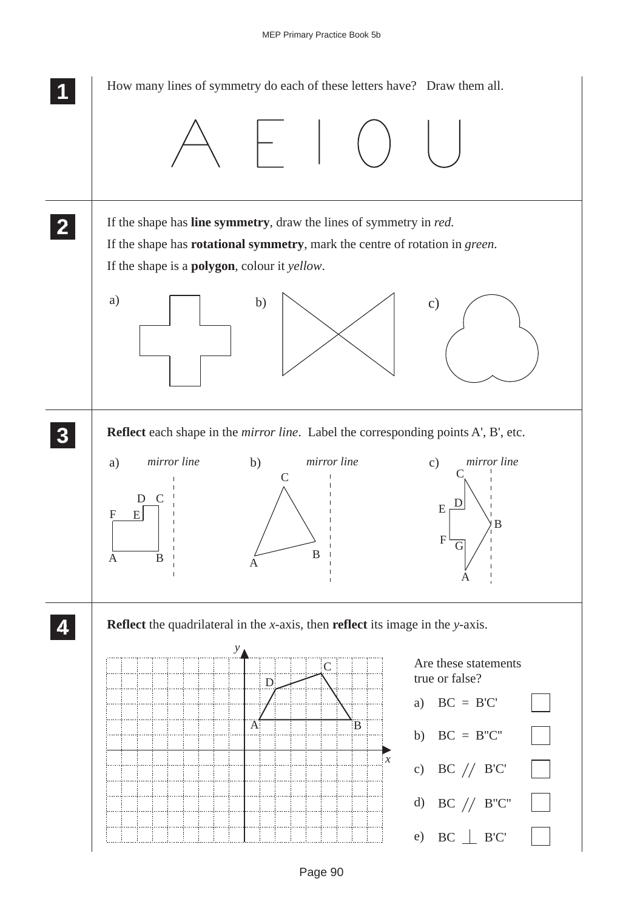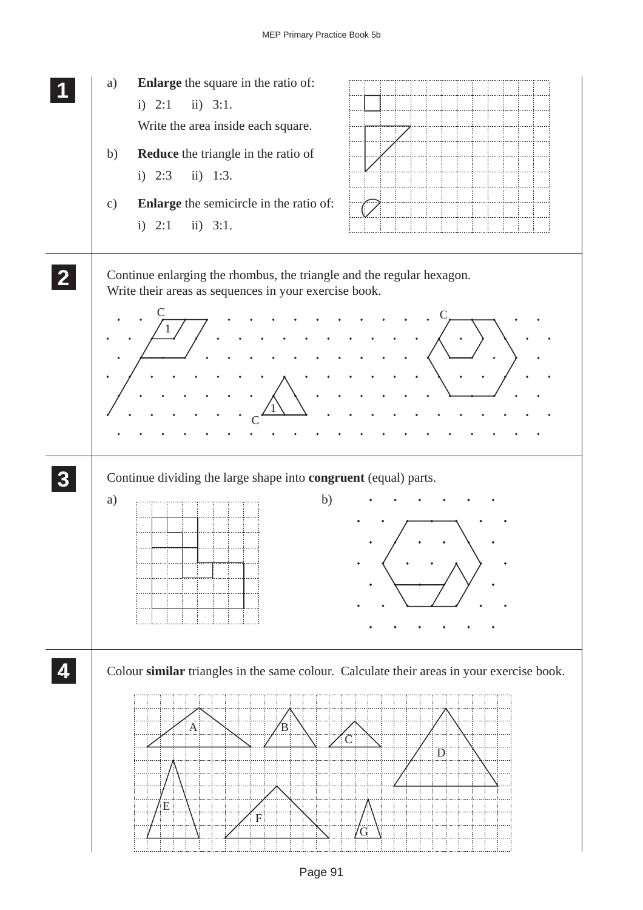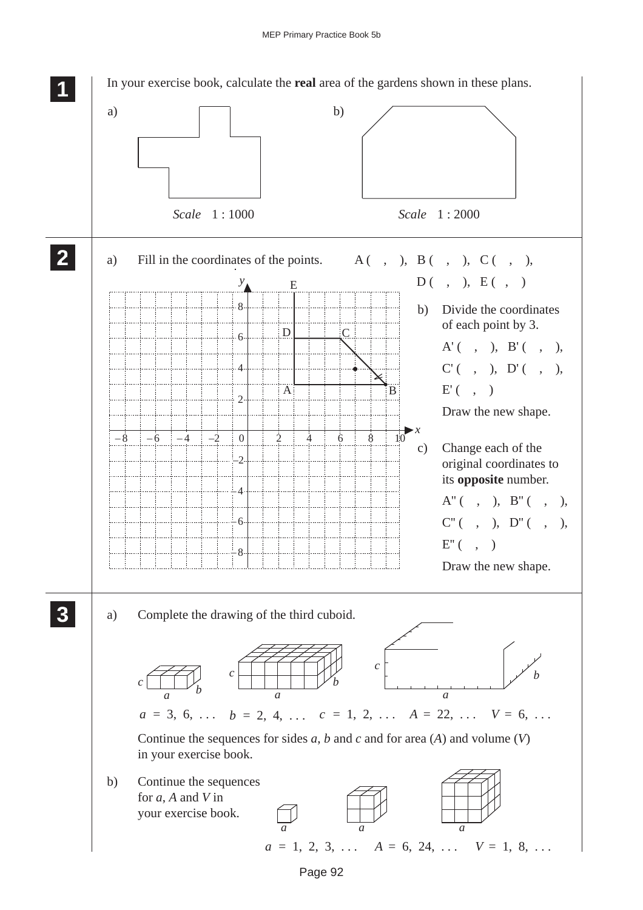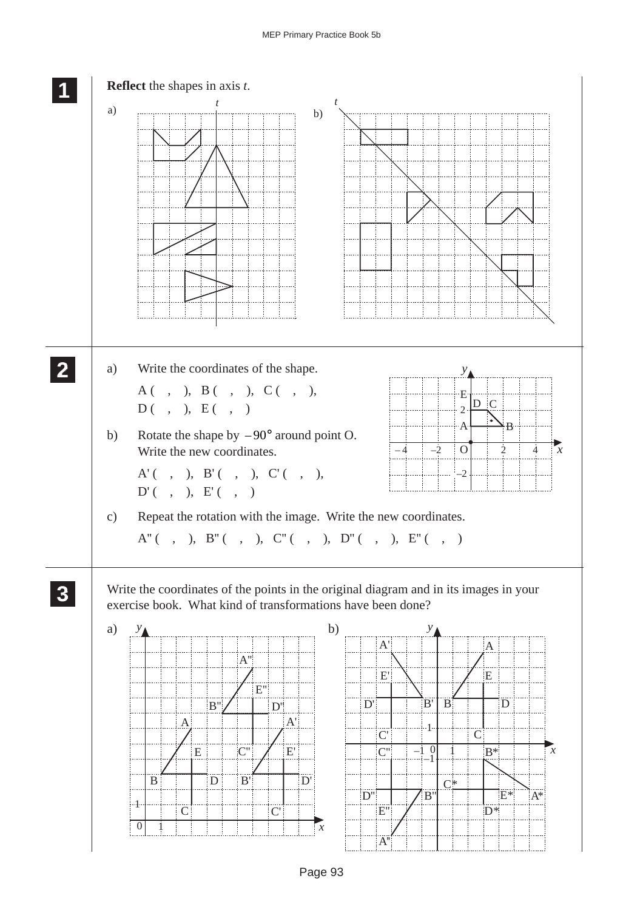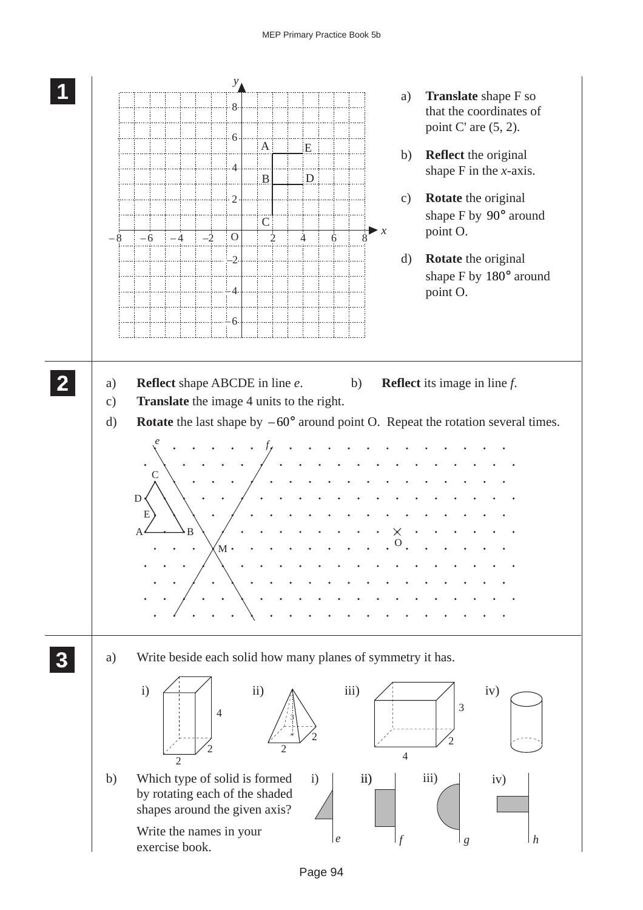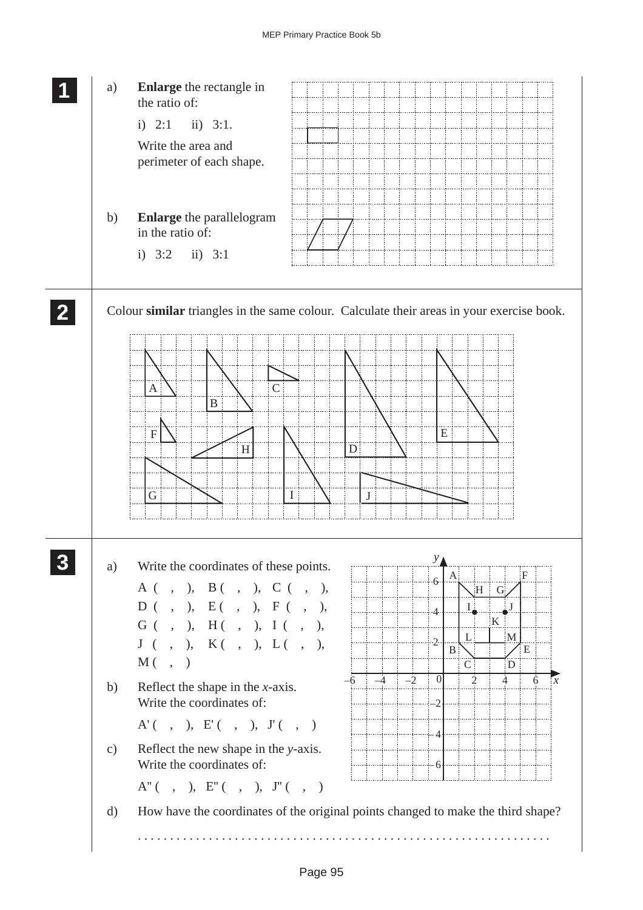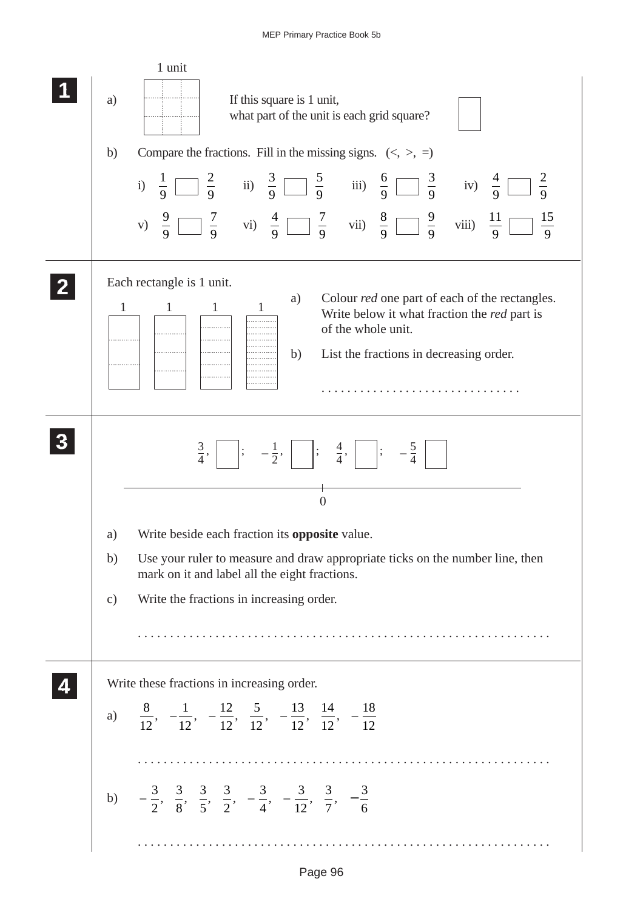| 1 unit<br>If this square is 1 unit,<br>a)<br>what part of the unit is each grid square?<br>Compare the fractions. Fill in the missing signs. $(\langle, \rangle, =)$<br>b)<br>i) $\frac{1}{9}$ $\frac{2}{9}$ ii) $\frac{3}{9}$ $\frac{5}{9}$ iii) $\frac{6}{9}$ $\frac{3}{9}$ iv) $\frac{4}{9}$ $\frac{2}{9}$<br>v) $\frac{9}{9}$ $\frac{7}{9}$ vi) $\frac{4}{9}$ $\frac{7}{9}$ vii) $\frac{8}{9}$ $\frac{9}{9}$ viii) $\frac{11}{9}$ $\frac{15}{9}$ |
|------------------------------------------------------------------------------------------------------------------------------------------------------------------------------------------------------------------------------------------------------------------------------------------------------------------------------------------------------------------------------------------------------------------------------------------------------|
| Each rectangle is 1 unit.<br>Colour <i>red</i> one part of each of the rectangles.<br>a)<br>$\mathbf{1}$<br>$\mathbf{1}$<br>$\mathbf{1}$<br>Write below it what fraction the red part is<br>of the whole unit.<br>b)<br>List the fractions in decreasing order.                                                                                                                                                                                      |
| $\frac{3}{4}$ , $\Big $ $\Big $ ; $-\frac{1}{2}$ , $\Big $ $\Big $ ; $\frac{4}{4}$ , $\Big $ $\Big $ ; $-\frac{5}{4}$<br>$\overline{0}$<br>Write beside each fraction its <b>opposite</b> value.<br>a)<br>Use your ruler to measure and draw appropriate ticks on the number line, then<br>b)<br>mark on it and label all the eight fractions.<br>Write the fractions in increasing order.<br>$\mathbf{c})$                                          |
| Write these fractions in increasing order.<br>a) $\frac{8}{12}$ , $-\frac{1}{12}$ , $-\frac{12}{12}$ , $\frac{5}{12}$ , $-\frac{13}{12}$ , $\frac{14}{12}$ , $-\frac{18}{12}$                                                                                                                                                                                                                                                                        |
| b) $-\frac{3}{2}, \frac{3}{8}, \frac{3}{5}, \frac{3}{2}, -\frac{3}{4}, -\frac{3}{12}, \frac{3}{7}, -\frac{3}{6}$                                                                                                                                                                                                                                                                                                                                     |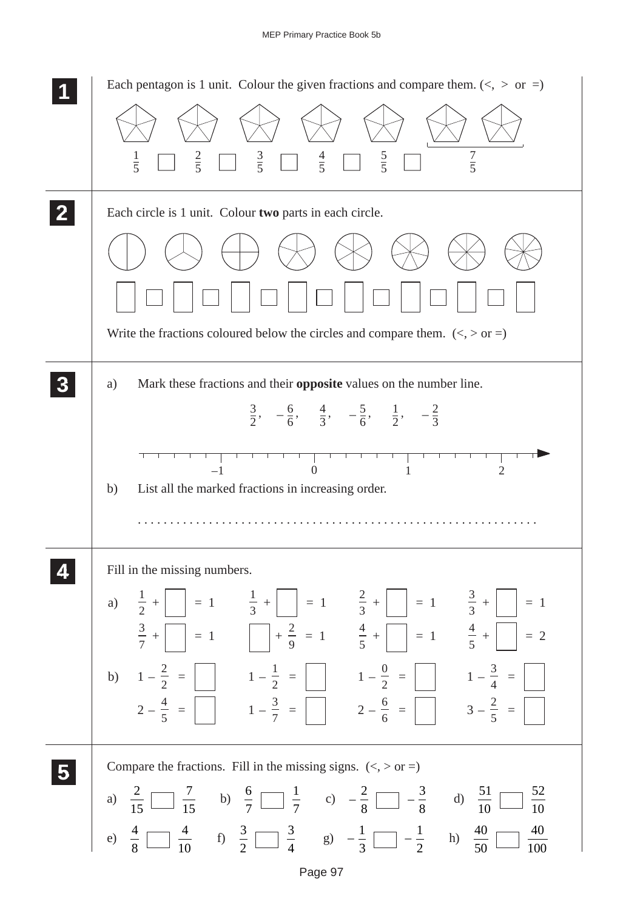| Each pentagon is 1 unit. Colour the given fractions and compare them. $(<, >$ or =)                                                                                                                                                                                                                                                                                                                                                                                                                                                                                                                                                                                                                                                                                  |
|----------------------------------------------------------------------------------------------------------------------------------------------------------------------------------------------------------------------------------------------------------------------------------------------------------------------------------------------------------------------------------------------------------------------------------------------------------------------------------------------------------------------------------------------------------------------------------------------------------------------------------------------------------------------------------------------------------------------------------------------------------------------|
| $rac{3}{5}$<br>$rac{4}{5}$<br>$rac{5}{5}$<br>$rac{7}{5}$<br>$rac{2}{5}$<br>$\frac{1}{5}$                                                                                                                                                                                                                                                                                                                                                                                                                                                                                                                                                                                                                                                                             |
| Each circle is 1 unit. Colour two parts in each circle.                                                                                                                                                                                                                                                                                                                                                                                                                                                                                                                                                                                                                                                                                                              |
|                                                                                                                                                                                                                                                                                                                                                                                                                                                                                                                                                                                                                                                                                                                                                                      |
|                                                                                                                                                                                                                                                                                                                                                                                                                                                                                                                                                                                                                                                                                                                                                                      |
| Write the fractions coloured below the circles and compare them. $(<,>or=$ )                                                                                                                                                                                                                                                                                                                                                                                                                                                                                                                                                                                                                                                                                         |
| Mark these fractions and their <b>opposite</b> values on the number line.<br>a)<br>$\frac{3}{2}$ , $-\frac{6}{6}$ , $\frac{4}{3}$ , $-\frac{5}{6}$ , $\frac{1}{2}$ , $-\frac{2}{3}$                                                                                                                                                                                                                                                                                                                                                                                                                                                                                                                                                                                  |
| $-1$<br>$\overline{2}$<br>$\Omega$<br>1<br>List all the marked fractions in increasing order.<br>b)                                                                                                                                                                                                                                                                                                                                                                                                                                                                                                                                                                                                                                                                  |
| Fill in the missing numbers.<br>a) $\frac{1}{2} + \begin{vmatrix} 1 \\ 2 \end{vmatrix} = 1$ $\frac{1}{3} + \begin{vmatrix} 1 \\ 2 \end{vmatrix} = 1$ $\frac{2}{3} + \begin{vmatrix} 1 \\ 2 \end{vmatrix} = 1$ $\frac{3}{3} + \begin{vmatrix} 1 \\ 2 \end{vmatrix} = 1$<br>$\frac{3}{7} + \begin{bmatrix} 1 \\ 1 \end{bmatrix} = 1$ $\begin{bmatrix} +\frac{2}{9} = 1 \\ \frac{4}{5} + \begin{bmatrix} 1 \\ 1 \end{bmatrix} = 1$ $\frac{4}{5} + \begin{bmatrix} 1 \\ 1 \end{bmatrix} = 2$<br>b) $1-\frac{2}{2} = \boxed{1-\frac{1}{2}} = \boxed{1-\frac{0}{2}} = \boxed{1-\frac{0}{2}} = \boxed{1-\frac{3}{4}} = \boxed{1}$<br>$2-\frac{4}{5} = \begin{bmatrix} 1 & -\frac{3}{7} & = \end{bmatrix}$ $2-\frac{6}{6} = \begin{bmatrix} 3-\frac{2}{5} & = \end{bmatrix}$ |
| Compare the fractions. Fill in the missing signs. $(<, >$ or =)<br>a) $\frac{2}{15}$ $\frac{7}{15}$ b) $\frac{6}{7}$ $\frac{1}{7}$ c) $-\frac{2}{8}$ $\frac{3}{8}$ d) $\frac{51}{10}$                                                                                                                                                                                                                                                                                                                                                                                                                                                                                                                                                                                |
| $\frac{40}{100}$<br>e) $\frac{4}{8}$ $\frac{4}{10}$ f) $\frac{3}{2}$ $\frac{3}{4}$ g) $-\frac{1}{3}$ $\frac{1}{2}$ h) $\frac{40}{50}$                                                                                                                                                                                                                                                                                                                                                                                                                                                                                                                                                                                                                                |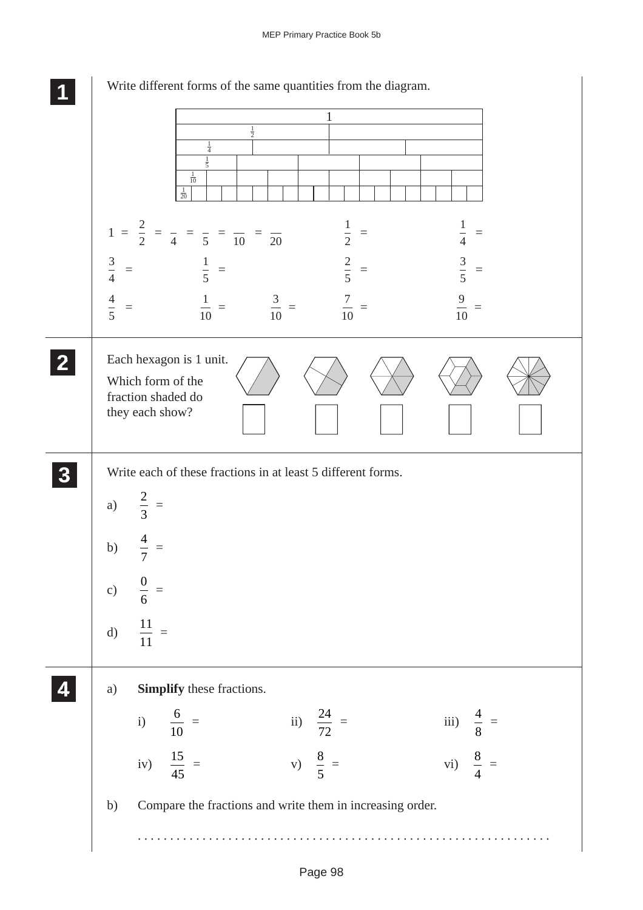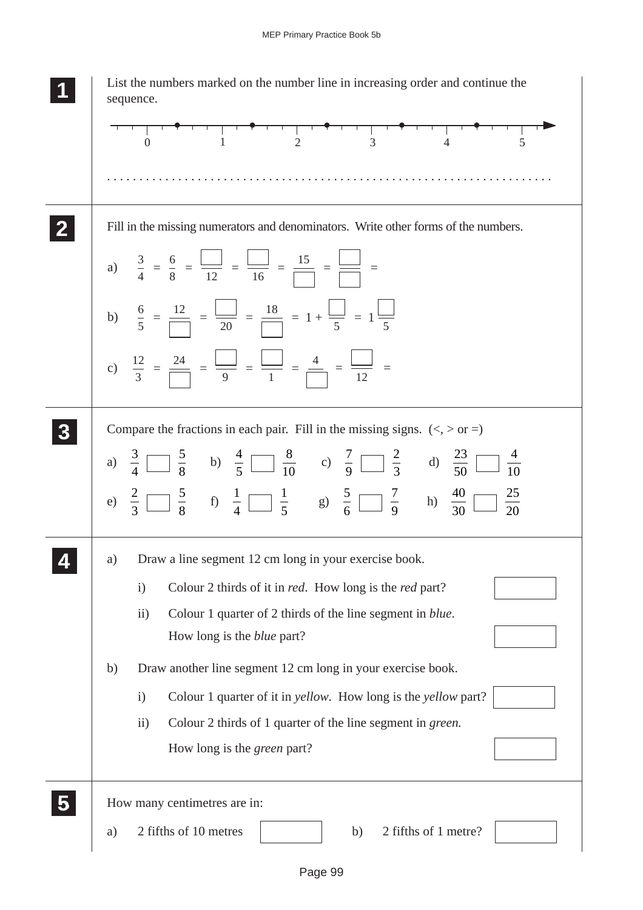| List the numbers marked on the number line in increasing order and continue the<br>sequence.                                             |
|------------------------------------------------------------------------------------------------------------------------------------------|
|                                                                                                                                          |
|                                                                                                                                          |
| Fill in the missing numerators and denominators. Write other forms of the numbers.                                                       |
| a) $\frac{3}{4} = \frac{6}{8} = \frac{\boxed{}}{12} = \frac{\boxed{}}{16} = \frac{15}{\boxed{}} = \frac{\boxed{}}{} = \frac{\boxed{}}{}$ |
| b) $\frac{6}{5} = \frac{12}{\boxed{20}} = \frac{18}{\boxed{20}} = 1 + \frac{1}{5} = 1 + \frac{1}{5}$                                     |
| c) $\frac{12}{3} = \frac{24}{\Box} = \frac{\Box}{9} = \frac{\Box}{1} = \frac{4}{\Box} = \frac{\Box}{12} = \frac{\Box}{12}$               |
| Compare the fractions in each pair. Fill in the missing signs. $(<, > 0r =)$                                                             |
| a) $\frac{3}{4}$ $\frac{5}{8}$ b) $\frac{4}{5}$ $\frac{8}{10}$ c) $\frac{7}{9}$ $\frac{2}{3}$ d) $\frac{23}{50}$ $\frac{4}{10}$          |
| e) $\frac{2}{3}$ $\frac{5}{8}$ f) $\frac{1}{4}$ $\frac{1}{5}$ g) $\frac{5}{6}$ $\frac{7}{9}$ h) $\frac{40}{30}$ $\frac{25}{20}$          |
| Draw a line segment 12 cm long in your exercise book.<br>a)                                                                              |
| Colour 2 thirds of it in <i>red</i> . How long is the <i>red</i> part?<br>$\mathbf{i}$                                                   |
| Colour 1 quarter of 2 thirds of the line segment in <i>blue</i> .<br>$\rm ii)$<br>How long is the <i>blue</i> part?                      |
| Draw another line segment 12 cm long in your exercise book.<br>b)                                                                        |
| Colour 1 quarter of it in <i>yellow</i> . How long is the <i>yellow</i> part?<br>$\mathbf{i}$                                            |
| Colour 2 thirds of 1 quarter of the line segment in green.<br>$\rm ii)$                                                                  |
| How long is the <i>green</i> part?                                                                                                       |
| How many centimetres are in:                                                                                                             |
| 2 fifths of 10 metres<br>2 fifths of 1 metre?<br>b)<br>a)                                                                                |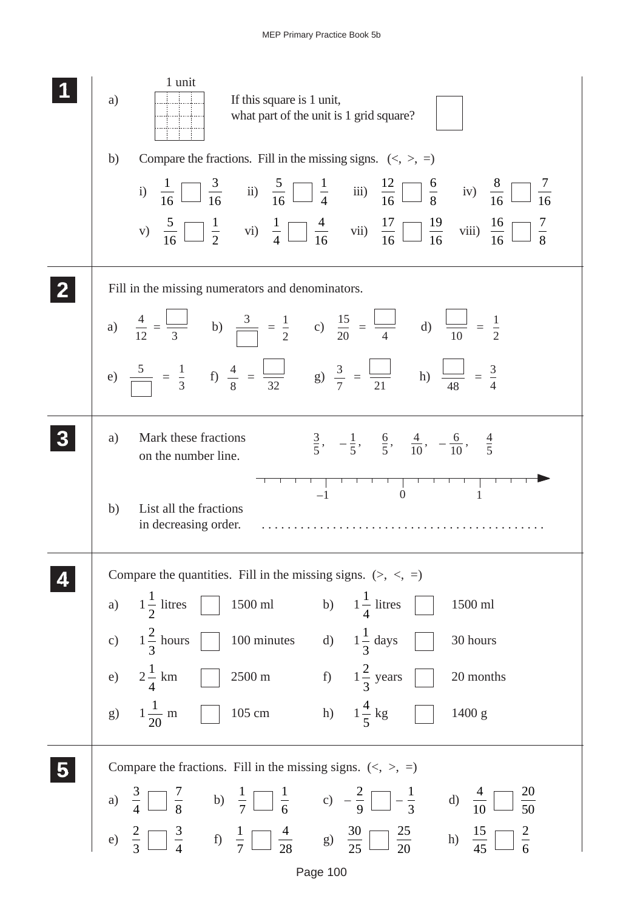| 1 unit<br>If this square is 1 unit,<br>a)<br>what part of the unit is 1 grid square?                                                                                                                                                                                                                         |
|--------------------------------------------------------------------------------------------------------------------------------------------------------------------------------------------------------------------------------------------------------------------------------------------------------------|
| Compare the fractions. Fill in the missing signs. $(\langle, \rangle, =)$<br>b)                                                                                                                                                                                                                              |
| i) $\frac{1}{16}$ $\frac{3}{16}$ ii) $\frac{5}{16}$ $\frac{1}{4}$ iii) $\frac{12}{16}$ $\frac{6}{8}$ iv) $\frac{8}{16}$ $\frac{7}{16}$<br>v) $\frac{5}{16}$ $\frac{1}{2}$ vi) $\frac{1}{4}$ $\frac{4}{16}$ vii) $\frac{17}{16}$ $\frac{19}{16}$ viii) $\frac{16}{16}$ $\frac{7}{8}$                          |
| Fill in the missing numerators and denominators.                                                                                                                                                                                                                                                             |
| a) $\frac{4}{12} = \frac{\boxed{}}{3}$ b) $\frac{3}{\boxed{}} = \frac{1}{2}$ c) $\frac{15}{20} = \frac{\boxed{}}{4}$ d) $\frac{\boxed{}}{10} = \frac{1}{2}$                                                                                                                                                  |
| e) $\frac{5}{\sqrt{1}} = \frac{1}{3}$ f) $\frac{4}{8} = \frac{\sqrt{11}}{32}$ g) $\frac{3}{7} = \frac{\sqrt{11}}{21}$ h) $\frac{\sqrt{11}}{48} = \frac{3}{4}$                                                                                                                                                |
| Mark these fractions<br>a)<br>$\frac{3}{5}$ , $-\frac{1}{5}$ , $\frac{6}{5}$ , $\frac{4}{10}$ , $-\frac{6}{10}$ , $\frac{4}{5}$<br>on the number line.                                                                                                                                                       |
| $\begin{array}{c}\n\begin{array}{c}\n1 \\ -1\n\end{array}\n\end{array}$<br>List all the fractions<br>b)<br>in decreasing order.                                                                                                                                                                              |
| Compare the quantities. Fill in the missing signs. $(>, <, =)$                                                                                                                                                                                                                                               |
| 1500 ml b) $1\frac{1}{4}$ litres<br>a) $1\frac{1}{2}$ litres<br>1500 ml                                                                                                                                                                                                                                      |
| c) $1\frac{2}{3}$ hours $\Box$<br>100 minutes d) $1\frac{1}{3}$ days<br>30 hours                                                                                                                                                                                                                             |
| 2500 m f) $1\frac{2}{3}$ years<br>e) $2\frac{1}{4}$ km<br>20 months                                                                                                                                                                                                                                          |
| g) $1\frac{1}{20}$ m 105 cm h) $1\frac{4}{5}$ kg $\Box$<br>1400 g                                                                                                                                                                                                                                            |
| Compare the fractions. Fill in the missing signs. $(\langle, \rangle, =)$                                                                                                                                                                                                                                    |
| $\frac{20}{50}$                                                                                                                                                                                                                                                                                              |
| a) $\frac{3}{4}$ $\begin{array}{ccc ccc} 7 & & b) & \frac{1}{7} & \frac{1}{6} & c) & -\frac{2}{9} & -\frac{1}{3} & d) & \frac{4}{10} & \frac{20}{50} \ e) & \frac{2}{3} & \frac{3}{4} & f) & \frac{1}{7} & \frac{4}{28} & g) & \frac{30}{25} & \frac{25}{20} & h) & \frac{15}{45} & \frac{2}{6} \end{array}$ |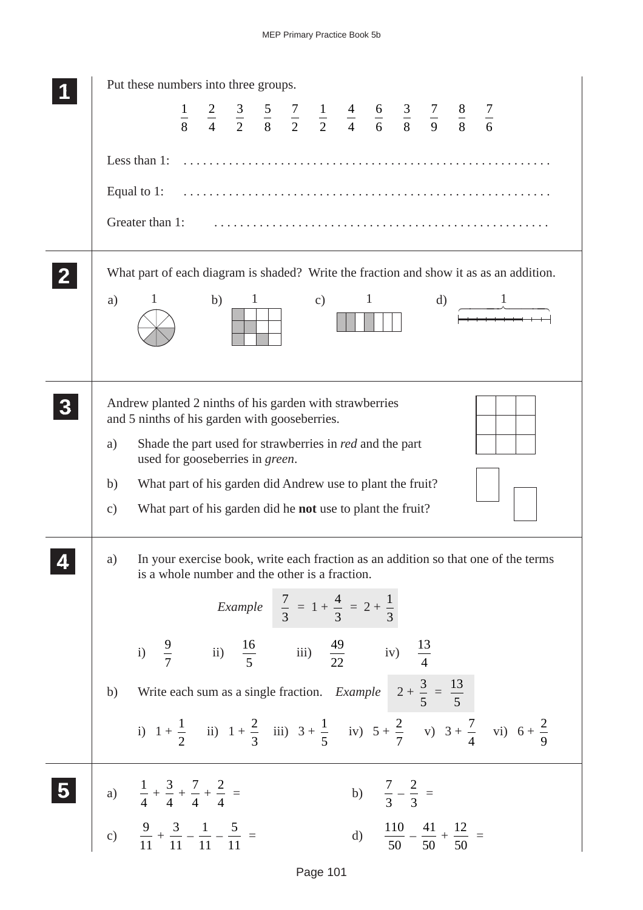| Put these numbers into three groups.                                                                                                                                                                                                                                                                                                                                                                                                                                                        |
|---------------------------------------------------------------------------------------------------------------------------------------------------------------------------------------------------------------------------------------------------------------------------------------------------------------------------------------------------------------------------------------------------------------------------------------------------------------------------------------------|
| $\frac{1}{8}$ $\frac{2}{4}$ $\frac{3}{2}$ $\frac{5}{8}$ $\frac{7}{2}$ $\frac{1}{2}$ $\frac{4}{4}$ $\frac{6}{6}$ $\frac{3}{8}$ $\frac{7}{9}$ $\frac{8}{8}$ $\frac{7}{6}$                                                                                                                                                                                                                                                                                                                     |
| Less than $1:$ $\ldots$ $\ldots$ $\ldots$ $\ldots$ $\ldots$ $\ldots$ $\ldots$ $\ldots$ $\ldots$ $\ldots$ $\ldots$                                                                                                                                                                                                                                                                                                                                                                           |
|                                                                                                                                                                                                                                                                                                                                                                                                                                                                                             |
|                                                                                                                                                                                                                                                                                                                                                                                                                                                                                             |
| Greater than 1:                                                                                                                                                                                                                                                                                                                                                                                                                                                                             |
| What part of each diagram is shaded? Write the fraction and show it as as an addition.                                                                                                                                                                                                                                                                                                                                                                                                      |
| b) $1$<br>$\mathbf{1}$<br>c) $1$<br>$\mathbf{d}$<br>a)<br>$\frac{1}{\sqrt{1-\frac{1}{2}}\cdot\frac{1}{\sqrt{1-\frac{1}{2}}\cdot\frac{1}{\sqrt{1-\frac{1}{2}}\cdot\frac{1}{\sqrt{1-\frac{1}{2}}\cdot\frac{1}{\sqrt{1-\frac{1}{2}}\cdot\frac{1}{\sqrt{1-\frac{1}{2}}\cdot\frac{1}{\sqrt{1-\frac{1}{2}}\cdot\frac{1}{\sqrt{1-\frac{1}{2}}\cdot\frac{1}{\sqrt{1-\frac{1}{2}}\cdot\frac{1}{\sqrt{1-\frac{1}{2}}\cdot\frac{1}{\sqrt{1-\frac{1}{2}}\cdot\frac{1}{\sqrt{1-\frac{1}{2}}\cdot\frac{1$ |
|                                                                                                                                                                                                                                                                                                                                                                                                                                                                                             |
|                                                                                                                                                                                                                                                                                                                                                                                                                                                                                             |
| Andrew planted 2 ninths of his garden with strawberries                                                                                                                                                                                                                                                                                                                                                                                                                                     |
| and 5 ninths of his garden with gooseberries.                                                                                                                                                                                                                                                                                                                                                                                                                                               |
| Shade the part used for strawberries in <i>red</i> and the part<br>a)<br>used for gooseberries in green.                                                                                                                                                                                                                                                                                                                                                                                    |
| What part of his garden did Andrew use to plant the fruit?<br>b)                                                                                                                                                                                                                                                                                                                                                                                                                            |
| What part of his garden did he <b>not</b> use to plant the fruit?<br>$\mathbf{c})$                                                                                                                                                                                                                                                                                                                                                                                                          |
|                                                                                                                                                                                                                                                                                                                                                                                                                                                                                             |
| In your exercise book, write each fraction as an addition so that one of the terms<br>a)<br>is a whole number and the other is a fraction.                                                                                                                                                                                                                                                                                                                                                  |
| <i>Example</i> $\frac{7}{3} = 1 + \frac{4}{3} = 2 + \frac{1}{3}$                                                                                                                                                                                                                                                                                                                                                                                                                            |
|                                                                                                                                                                                                                                                                                                                                                                                                                                                                                             |
| i) $\frac{9}{7}$ ii) $\frac{16}{5}$ iii) $\frac{49}{22}$ iv) $\frac{13}{4}$                                                                                                                                                                                                                                                                                                                                                                                                                 |
| Write each sum as a single fraction. <i>Example</i> $2 + \frac{3}{5} = \frac{13}{5}$<br>b)                                                                                                                                                                                                                                                                                                                                                                                                  |
| i) $1 + \frac{1}{2}$ ii) $1 + \frac{2}{3}$ iii) $3 + \frac{1}{5}$ iv) $5 + \frac{2}{7}$ v) $3 + \frac{7}{4}$ vi) $6 + \frac{2}{9}$                                                                                                                                                                                                                                                                                                                                                          |
|                                                                                                                                                                                                                                                                                                                                                                                                                                                                                             |
| b) $\frac{7}{3} - \frac{2}{3} =$<br>5 a) $\frac{1}{4} + \frac{3}{4} + \frac{7}{4} + \frac{2}{4} =$                                                                                                                                                                                                                                                                                                                                                                                          |
|                                                                                                                                                                                                                                                                                                                                                                                                                                                                                             |
| c) $\frac{9}{11} + \frac{3}{11} - \frac{1}{11} - \frac{5}{11} =$<br>d) $\frac{110}{50} - \frac{41}{50} + \frac{12}{50} =$                                                                                                                                                                                                                                                                                                                                                                   |
|                                                                                                                                                                                                                                                                                                                                                                                                                                                                                             |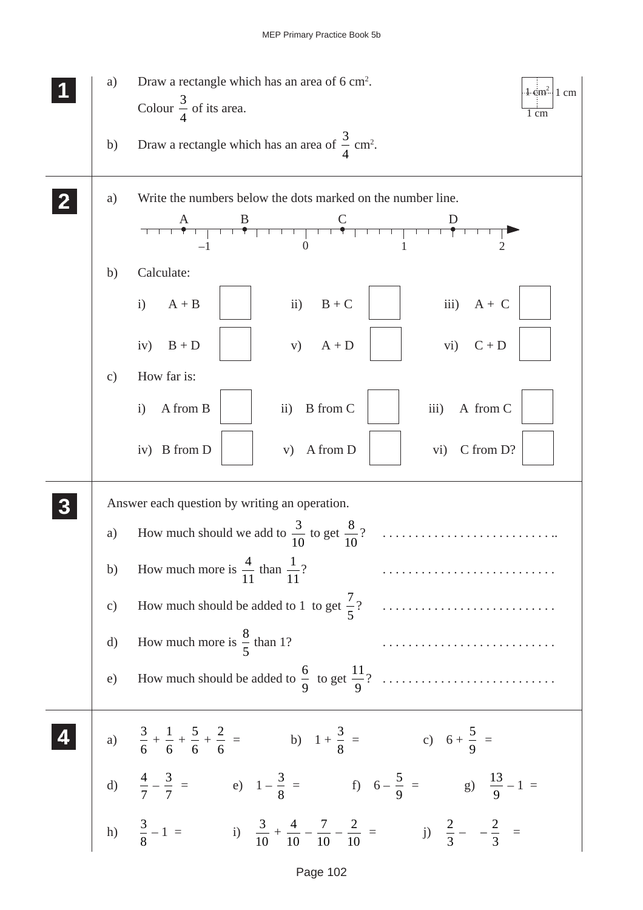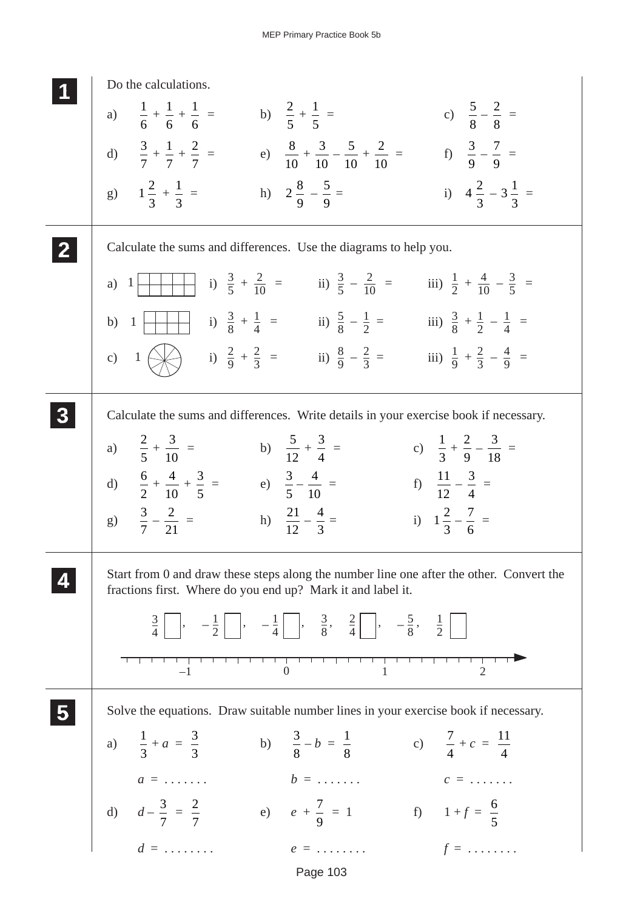| Do the calculations.                                                                                                                                      |
|-----------------------------------------------------------------------------------------------------------------------------------------------------------|
| a) $\frac{1}{6} + \frac{1}{6} + \frac{1}{6} =$ b) $\frac{2}{5} + \frac{1}{5} =$<br>c) $\frac{5}{8} - \frac{2}{8} =$                                       |
| d) $\frac{3}{7} + \frac{1}{7} + \frac{2}{7} =$ e) $\frac{8}{10} + \frac{3}{10} - \frac{5}{10} + \frac{2}{10} =$<br>f) $\frac{3}{9} - \frac{7}{9} =$       |
| g) $1\frac{2}{3} + \frac{1}{3} =$<br>h) $2\frac{8}{9} - \frac{5}{9} =$<br>i) $4\frac{2}{3} - 3\frac{1}{3} =$                                              |
| Calculate the sums and differences. Use the diagrams to help you.                                                                                         |
|                                                                                                                                                           |
| i) $\frac{3}{8} + \frac{1}{4} =$ ii) $\frac{5}{8} - \frac{1}{2} =$ iii) $\frac{3}{8} + \frac{1}{2} - \frac{1}{4} =$<br>b) $1 \mid \mid \mid$              |
| c) $1 \leftarrow$<br>i) $\frac{2}{9} + \frac{2}{3} =$ ii) $\frac{8}{9} - \frac{2}{3} =$ iii) $\frac{1}{9} + \frac{2}{3} - \frac{4}{9} =$                  |
| Calculate the sums and differences. Write details in your exercise book if necessary.                                                                     |
| a) $\frac{2}{5} + \frac{3}{10} =$ b) $\frac{5}{12} + \frac{3}{4} =$<br>c) $\frac{1}{3} + \frac{2}{9} - \frac{3}{18} =$                                    |
| d) $\frac{6}{2} + \frac{4}{10} + \frac{3}{5} =$ e) $\frac{3}{5} - \frac{4}{10} =$<br>f) $\frac{11}{12} - \frac{3}{4} =$                                   |
| g) $\frac{3}{7} - \frac{2}{21} =$<br>h) $\frac{21}{12} - \frac{4}{3} =$<br>i) $1\frac{2}{3} - \frac{7}{6} =$                                              |
| Start from 0 and draw these steps along the number line one after the other. Convert the<br>fractions first. Where do you end up? Mark it and label it.   |
| $\frac{3}{4}$ , $-\frac{1}{2}$ , $-\frac{1}{4}$ , $\frac{3}{8}$ , $\frac{2}{4}$ , $-\frac{5}{8}$ , $\frac{1}{2}$                                          |
|                                                                                                                                                           |
| Solve the equations. Draw suitable number lines in your exercise book if necessary.                                                                       |
| b) $\frac{3}{8} - b = \frac{1}{8}$ c) $\frac{7}{4} + c = \frac{11}{4}$<br>a) $\frac{1}{3} + a = \frac{3}{3}$                                              |
| $a = \ldots \ldots$<br>$b = \ldots \ldots$<br>$c = \ldots \ldots$                                                                                         |
| d) $d - \frac{3}{7} = \frac{2}{7}$<br>e) $e + \frac{7}{9} = 1$<br>f) $1 + f = \frac{6}{5}$<br>$d = \dots \dots$<br>$e = \dots \dots$<br>$f = \dots \dots$ |
| $e = \ldots \ldots \qquad f = \ldots \ldots$                                                                                                              |

Page 103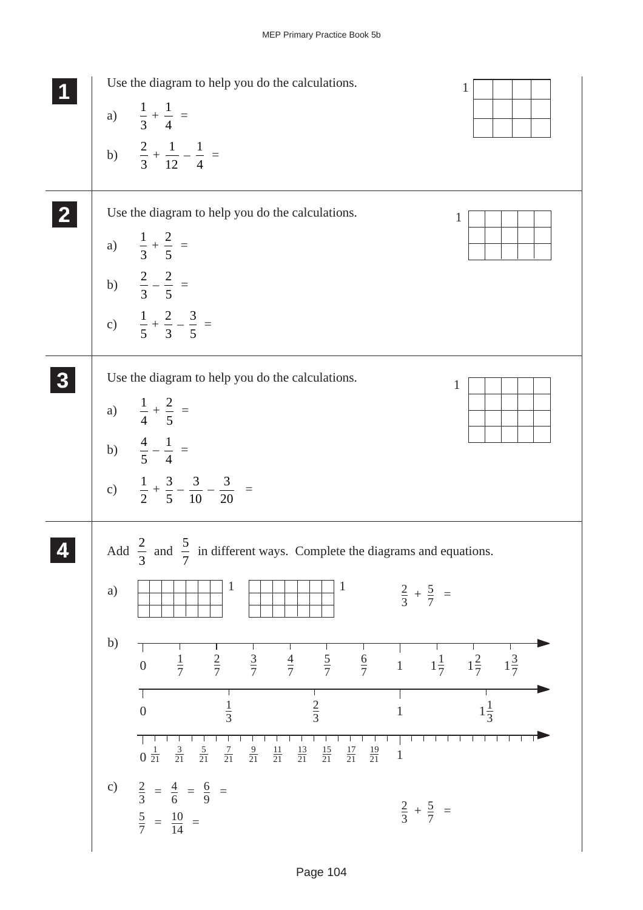![](_page_23_Figure_1.jpeg)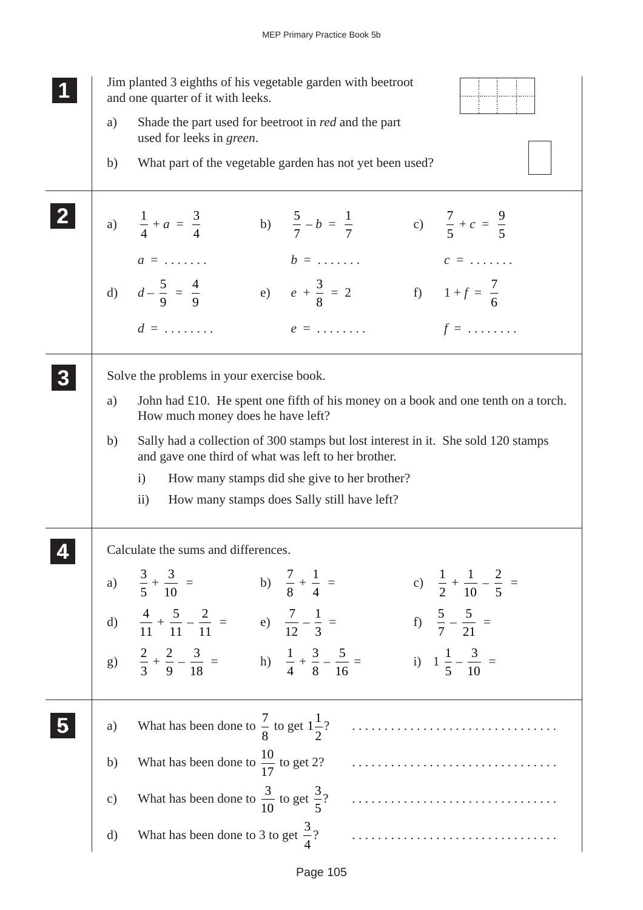|              | Jim planted 3 eighths of his vegetable garden with beetroot<br>and one quarter of it with leeks.                                                                                                                                                                                                                                                                                                                                                                                           |
|--------------|--------------------------------------------------------------------------------------------------------------------------------------------------------------------------------------------------------------------------------------------------------------------------------------------------------------------------------------------------------------------------------------------------------------------------------------------------------------------------------------------|
| a)           | Shade the part used for beetroot in red and the part<br>used for leeks in green.                                                                                                                                                                                                                                                                                                                                                                                                           |
| b)           | What part of the vegetable garden has not yet been used?                                                                                                                                                                                                                                                                                                                                                                                                                                   |
|              | a) $\frac{1}{4} + a = \frac{3}{4}$<br>b) $\frac{5}{7} - b = \frac{1}{7}$<br>c) $\frac{7}{5} + c = \frac{9}{5}$                                                                                                                                                                                                                                                                                                                                                                             |
|              | $b = \ldots \ldots$<br>$c = \ldots \ldots$<br>$a = \ldots \ldots$<br>d) $d-\frac{5}{9}=\frac{4}{9}$ e) $e+\frac{3}{8}=2$<br>f) $1+f = \frac{7}{6}$                                                                                                                                                                                                                                                                                                                                         |
|              | $d = \ldots \ldots$<br>$f = \ldots \ldots$<br>$e = \ldots \ldots$                                                                                                                                                                                                                                                                                                                                                                                                                          |
|              | Solve the problems in your exercise book.                                                                                                                                                                                                                                                                                                                                                                                                                                                  |
| a)           | John had £10. He spent one fifth of his money on a book and one tenth on a torch.<br>How much money does he have left?                                                                                                                                                                                                                                                                                                                                                                     |
| b)           | Sally had a collection of 300 stamps but lost interest in it. She sold 120 stamps<br>and gave one third of what was left to her brother.                                                                                                                                                                                                                                                                                                                                                   |
|              | How many stamps did she give to her brother?<br>$\mathbf{i}$                                                                                                                                                                                                                                                                                                                                                                                                                               |
|              | $\rm ii)$<br>How many stamps does Sally still have left?                                                                                                                                                                                                                                                                                                                                                                                                                                   |
|              | Calculate the sums and differences                                                                                                                                                                                                                                                                                                                                                                                                                                                         |
|              | a) $\frac{3}{5} + \frac{3}{10} =$ b) $\frac{7}{8} + \frac{1}{4} =$<br>c) $\frac{1}{2} + \frac{1}{10} - \frac{2}{5} =$                                                                                                                                                                                                                                                                                                                                                                      |
|              | d) $\frac{4}{11} + \frac{5}{11} - \frac{2}{11} =$ e) $\frac{7}{12} - \frac{1}{3} =$<br>f) $\frac{5}{7} - \frac{5}{21} =$                                                                                                                                                                                                                                                                                                                                                                   |
|              | g) $\frac{2}{3} + \frac{2}{9} - \frac{3}{18} =$ h) $\frac{1}{4} + \frac{3}{8} - \frac{5}{16} =$<br>i) $1\frac{1}{5} - \frac{3}{10} =$                                                                                                                                                                                                                                                                                                                                                      |
| a)           |                                                                                                                                                                                                                                                                                                                                                                                                                                                                                            |
| b)           | What has been done to $\frac{10}{17}$ to get 2?                                                                                                                                                                                                                                                                                                                                                                                                                                            |
| c)           | What has been done to $\frac{3}{10}$ to get $\frac{3}{5}$ ?<br>$\begin{minipage}{.4\linewidth} \begin{tabular}{l} \hline \textbf{1} & \textbf{2} & \textbf{3} & \textbf{4} & \textbf{5} & \textbf{5} & \textbf{6} & \textbf{6} & \textbf{7} & \textbf{8} & \textbf{9} & \textbf{10} & \textbf{10} & \textbf{10} & \textbf{10} & \textbf{10} & \textbf{10} & \textbf{10} & \textbf{10} & \textbf{10} & \textbf{10} & \textbf{10} & \textbf{10} & \textbf{10} & \textbf{10} & \textbf{10} &$ |
| $\mathrm{d}$ |                                                                                                                                                                                                                                                                                                                                                                                                                                                                                            |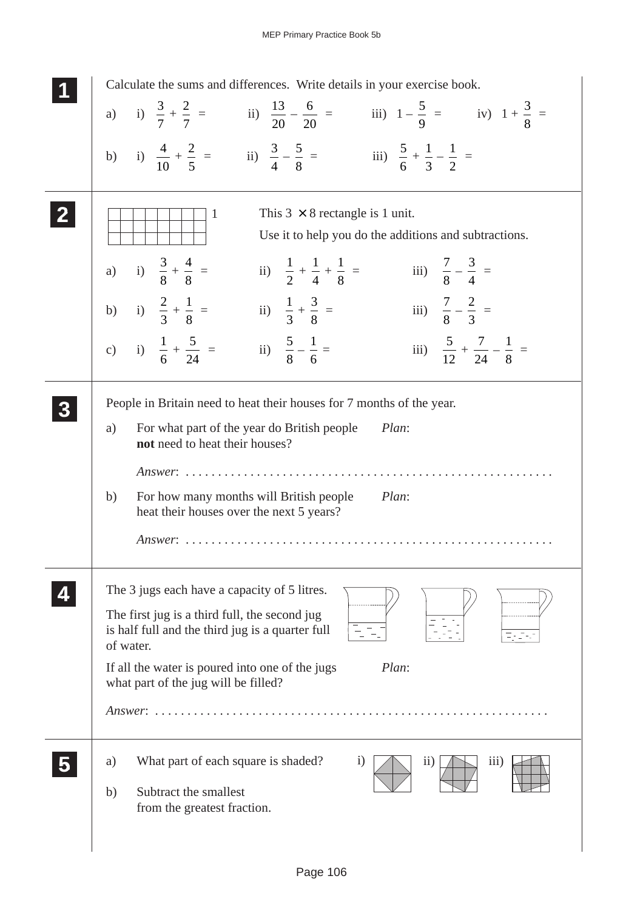| Calculate the sums and differences. Write details in your exercise book.                                                                                                      |
|-------------------------------------------------------------------------------------------------------------------------------------------------------------------------------|
| a) i) $\frac{3}{7} + \frac{2}{7} =$ ii) $\frac{13}{20} - \frac{6}{20} =$ iii) $1 - \frac{5}{9} =$ iv) $1 + \frac{3}{8} =$                                                     |
| b) i) $\frac{4}{10} + \frac{2}{5} =$ ii) $\frac{3}{4} - \frac{5}{8} =$ iii) $\frac{5}{6} + \frac{1}{3} - \frac{1}{2} =$                                                       |
| This $3 \times 8$ rectangle is 1 unit.<br>1<br>Use it to help you do the additions and subtractions.                                                                          |
| a) i) $\frac{3}{8} + \frac{4}{8} =$<br>iii) $\frac{7}{8} - \frac{3}{4} =$<br>ii) $\frac{1}{2} + \frac{1}{4} + \frac{1}{8} =$                                                  |
| b) i) $\frac{2}{3} + \frac{1}{8} =$ ii) $\frac{1}{3} + \frac{3}{8} =$<br>iii) $\frac{7}{8} - \frac{2}{3} =$                                                                   |
| c) i) $\frac{1}{6} + \frac{5}{24} =$ ii) $\frac{5}{8} - \frac{1}{6} =$<br>iii) $\frac{5}{12} + \frac{7}{24} - \frac{1}{8} =$                                                  |
| People in Britain need to heat their houses for 7 months of the year.<br>For what part of the year do British people<br>Plan:<br>a)<br>not need to heat their houses?         |
| Answer: $\ldots \ldots$<br>For how many months will British people<br>Plan:<br>b)<br>heat their houses over the next 5 years?<br>$Answer: \ldots \ldots \ldots \ldots \ldots$ |
| The 3 jugs each have a capacity of 5 litres.<br>The first jug is a third full, the second jug<br>is half full and the third jug is a quarter full<br>of water.                |
| If all the water is poured into one of the jugs<br>Plan:<br>what part of the jug will be filled?                                                                              |
|                                                                                                                                                                               |
| What part of each square is shaded?<br>$\rm i)$<br>a)<br>11)<br>111)<br>Subtract the smallest<br>b)<br>from the greatest fraction.                                            |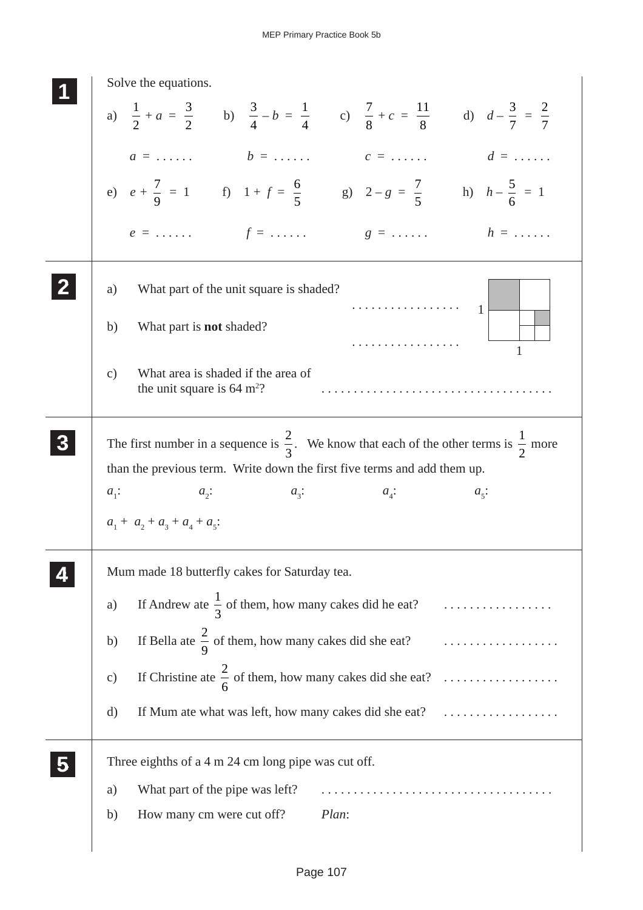| Solve the equations.                                                                                                                         |
|----------------------------------------------------------------------------------------------------------------------------------------------|
| a) $\frac{1}{2} + a = \frac{3}{2}$ b) $\frac{3}{4} - b = \frac{1}{4}$ c) $\frac{7}{8} + c = \frac{11}{8}$ d) $d - \frac{3}{7} = \frac{2}{7}$ |
| $d = \ldots \ldots$<br>$b = \ldots \ldots$<br>$c = \ldots \ldots$<br>$a = \ldots \ldots$                                                     |
| e) $e + \frac{7}{9} = 1$ f) $1 + f = \frac{6}{5}$ g) $2 - g = \frac{7}{5}$ h) $h - \frac{5}{6} = 1$                                          |
| $f = \ldots \ldots$<br>$h = \ldots \ldots$<br>$e = \ldots \ldots$<br>$g = \ldots \ldots$                                                     |
| What part of the unit square is shaded?<br>a)<br>$\cdots \cdots \cdots \cdots \cdots$                                                        |
| What part is <b>not</b> shaded?<br>b)                                                                                                        |
| What area is shaded if the area of<br>$\mathcal{C}$ )<br>the unit square is $64 \text{ m}^2$ ?                                               |
| The first number in a sequence is $\frac{2}{3}$ . We know that each of the other terms is $\frac{1}{2}$ more                                 |
| than the previous term. Write down the first five terms and add them up.                                                                     |
| $a_i$ :<br>$a_{\gamma}$ :<br>$a_{\alpha}$ :<br>$a_i$ :<br>$a_{\varsigma}$ :                                                                  |
| $a_1 + a_2 + a_3 + a_4 + a_5$                                                                                                                |
|                                                                                                                                              |
| Mum made 18 butterfly cakes for Saturday tea.                                                                                                |
| If Andrew ate $\frac{1}{3}$ of them, how many cakes did he eat?<br>a)                                                                        |
| If Bella at $\frac{2}{9}$ of them, how many cakes did she eat?<br>b)                                                                         |
| If Christine ate $\frac{2}{6}$ of them, how many cakes did she eat?<br>$\mathbf{c})$                                                         |
| If Mum ate what was left, how many cakes did she eat?<br>d)                                                                                  |
| Three eighths of a 4 m 24 cm long pipe was cut off.                                                                                          |
| What part of the pipe was left?<br>a)                                                                                                        |
| Plan:<br>How many cm were cut off?<br>b)                                                                                                     |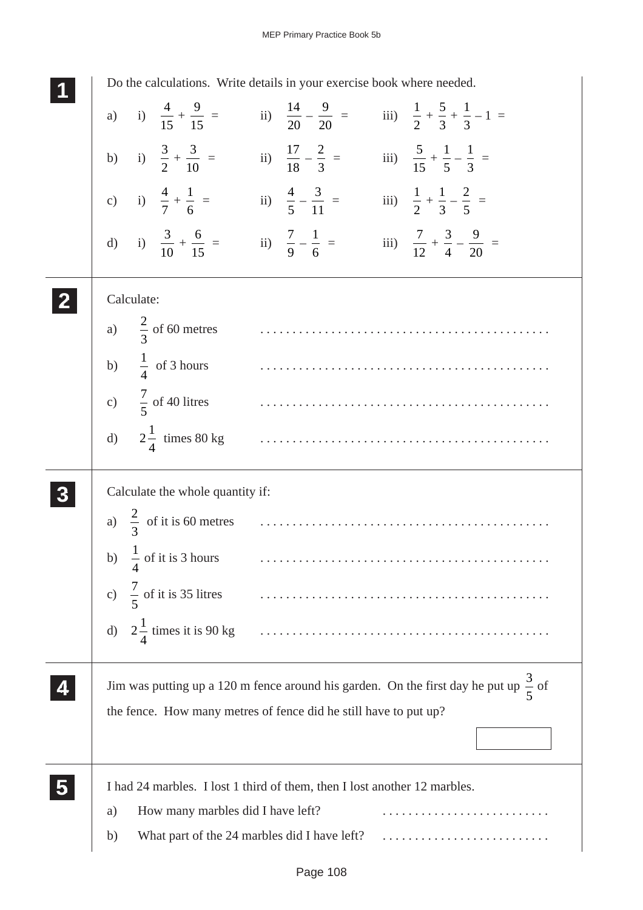| Do the calculations. Write details in your exercise book where needed.                                                          |
|---------------------------------------------------------------------------------------------------------------------------------|
| a) i) $\frac{4}{15} + \frac{9}{15} =$ ii) $\frac{14}{20} - \frac{9}{20} =$ iii) $\frac{1}{2} + \frac{5}{3} + \frac{1}{3} - 1 =$ |
| b) i) $\frac{3}{2} + \frac{3}{10} =$ ii) $\frac{17}{18} - \frac{2}{3} =$ iii) $\frac{5}{15} + \frac{1}{5} - \frac{1}{3} =$      |
| c) i) $\frac{4}{7} + \frac{1}{6} =$ ii) $\frac{4}{5} - \frac{3}{11} =$ iii) $\frac{1}{2} + \frac{1}{3} - \frac{2}{5} =$         |
| d) i) $\frac{3}{10} + \frac{6}{15} =$ ii) $\frac{7}{9} - \frac{1}{6} =$ iii) $\frac{7}{12} + \frac{3}{4} - \frac{9}{20} =$      |
| Calculate:                                                                                                                      |
| a) $\frac{2}{3}$ of 60 metres                                                                                                   |
| b) $\frac{1}{4}$ of 3 hours                                                                                                     |
| c) $\frac{7}{5}$ of 40 litres                                                                                                   |
| d) $2\frac{1}{4}$ times 80 kg                                                                                                   |
| Calculate the whole quantity if:                                                                                                |
|                                                                                                                                 |
| b) $\frac{1}{4}$ of it is 3 hours                                                                                               |
| $\frac{7}{5}$ of it is 35 litres<br>$\mathbf{c})$                                                                               |
| $2\frac{1}{4}$ times it is 90 kg<br>$\mathbf{d}$                                                                                |
| Jim was putting up a 120 m fence around his garden. On the first day he put up $\frac{3}{5}$ of                                 |
| the fence. How many metres of fence did he still have to put up?                                                                |
|                                                                                                                                 |
| I had 24 marbles. I lost 1 third of them, then I lost another 12 marbles.                                                       |
| How many marbles did I have left?<br>a)                                                                                         |
| What part of the 24 marbles did I have left?<br>b)                                                                              |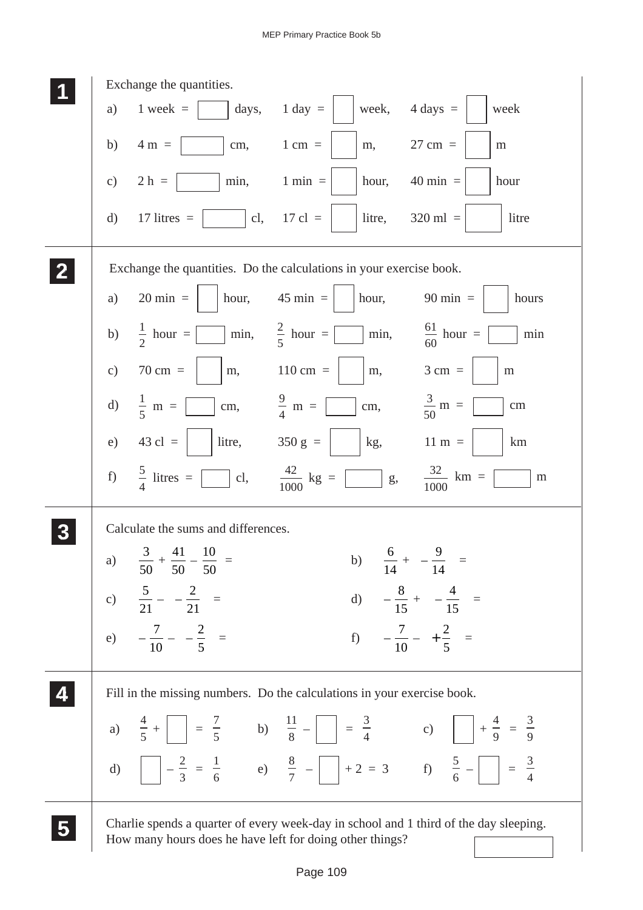![](_page_28_Figure_1.jpeg)